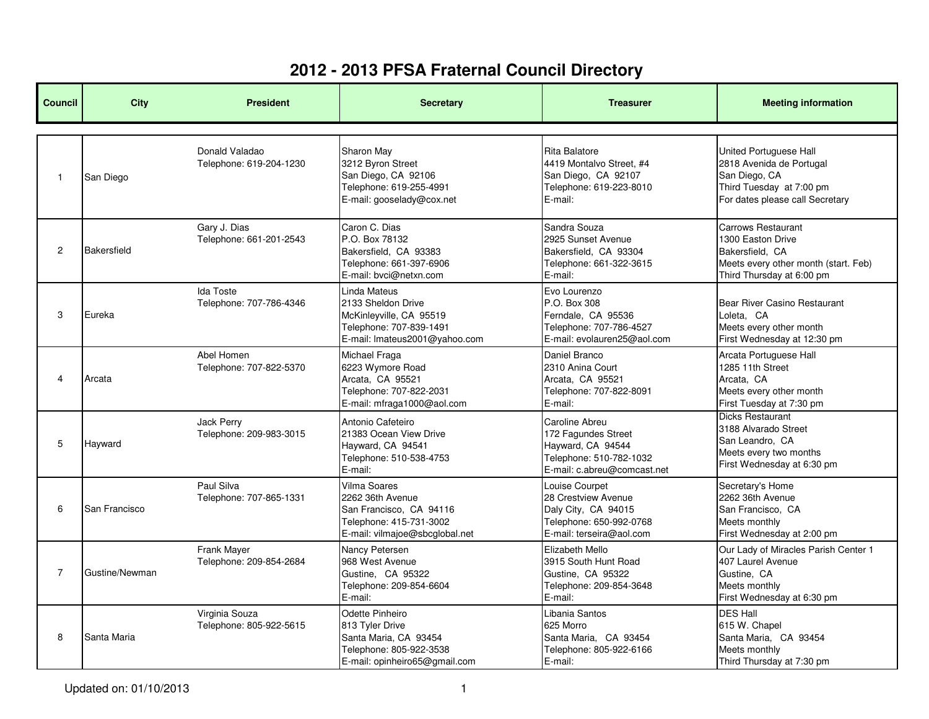| <b>Council</b> | <b>City</b>    | <b>President</b>                             | <b>Secretary</b>                                                                                                          | <b>Treasurer</b>                                                                                                     | <b>Meeting information</b>                                                                                                         |
|----------------|----------------|----------------------------------------------|---------------------------------------------------------------------------------------------------------------------------|----------------------------------------------------------------------------------------------------------------------|------------------------------------------------------------------------------------------------------------------------------------|
| $\mathbf{1}$   | San Diego      | Donald Valadao<br>Telephone: 619-204-1230    | Sharon May<br>3212 Byron Street<br>San Diego, CA 92106<br>Telephone: 619-255-4991<br>E-mail: gooselady@cox.net            | <b>Rita Balatore</b><br>4419 Montalvo Street, #4<br>San Diego, CA 92107<br>Telephone: 619-223-8010<br>E-mail:        | United Portuguese Hall<br>2818 Avenida de Portugal<br>San Diego, CA<br>Third Tuesday at 7:00 pm<br>For dates please call Secretary |
| $\mathbf{2}$   | Bakersfield    | Gary J. Dias<br>Telephone: 661-201-2543      | Caron C. Dias<br>P.O. Box 78132<br>Bakersfield, CA 93383<br>Telephone: 661-397-6906<br>E-mail: bvci@netxn.com             | Sandra Souza<br>2925 Sunset Avenue<br>Bakersfield, CA 93304<br>Telephone: 661-322-3615<br>E-mail:                    | Carrows Restaurant<br>1300 Easton Drive<br>Bakersfield, CA<br>Meets every other month (start. Feb)<br>Third Thursday at 6:00 pm    |
| 3              | Eureka         | <b>Ida Toste</b><br>Telephone: 707-786-4346  | Linda Mateus<br>2133 Sheldon Drive<br>McKinleyville, CA 95519<br>Telephone: 707-839-1491<br>E-mail: Imateus2001@yahoo.com | Evo Lourenzo<br>P.O. Box 308<br>Ferndale, CA 95536<br>Telephone: 707-786-4527<br>E-mail: evolauren25@aol.com         | Bear River Casino Restaurant<br>Loleta. CA<br>Meets every other month<br>First Wednesday at 12:30 pm                               |
| 4              | Arcata         | Abel Homen<br>Telephone: 707-822-5370        | Michael Fraga<br>6223 Wymore Road<br>Arcata, CA 95521<br>Telephone: 707-822-2031<br>E-mail: mfraga1000@aol.com            | Daniel Branco<br>2310 Anina Court<br>Arcata, CA 95521<br>Telephone: 707-822-8091<br>E-mail:                          | Arcata Portuguese Hall<br>1285 11th Street<br>Arcata, CA<br>Meets every other month<br>First Tuesday at 7:30 pm                    |
| 5              | Hayward        | <b>Jack Perry</b><br>Telephone: 209-983-3015 | Antonio Cafeteiro<br>21383 Ocean View Drive<br>Hayward, CA 94541<br>Telephone: 510-538-4753<br>E-mail:                    | Caroline Abreu<br>172 Fagundes Street<br>Hayward, CA 94544<br>Telephone: 510-782-1032<br>E-mail: c.abreu@comcast.net | <b>Dicks Restaurant</b><br>3188 Alvarado Street<br>San Leandro, CA<br>Meets every two months<br>First Wednesday at 6:30 pm         |
| 6              | San Francisco  | Paul Silva<br>Telephone: 707-865-1331        | Vilma Soares<br>2262 36th Avenue<br>San Francisco, CA 94116<br>Telephone: 415-731-3002<br>E-mail: vilmajoe@sbcglobal.net  | Louise Courpet<br>28 Crestview Avenue<br>Daly City, CA 94015<br>Telephone: 650-992-0768<br>E-mail: terseira@aol.com  | Secretary's Home<br>2262 36th Avenue<br>San Francisco, CA<br>Meets monthly<br>First Wednesday at 2:00 pm                           |
| $\overline{7}$ | Gustine/Newman | Frank Mayer<br>Telephone: 209-854-2684       | Nancy Petersen<br>968 West Avenue<br>Gustine, CA 95322<br>Telephone: 209-854-6604<br>E-mail:                              | Elizabeth Mello<br>3915 South Hunt Road<br>Gustine, CA 95322<br>Telephone: 209-854-3648<br>E-mail:                   | Our Lady of Miracles Parish Center 1<br>407 Laurel Avenue<br>Gustine, CA<br>Meets monthly<br>First Wednesday at 6:30 pm            |
| 8              | Santa Maria    | Virginia Souza<br>Telephone: 805-922-5615    | Odette Pinheiro<br>813 Tyler Drive<br>Santa Maria, CA 93454<br>Telephone: 805-922-3538<br>E-mail: opinheiro65@gmail.com   | Libania Santos<br>625 Morro<br>Santa Maria, CA 93454<br>Telephone: 805-922-6166<br>E-mail:                           | <b>DES Hall</b><br>615 W. Chapel<br>Santa Maria, CA 93454<br>Meets monthly<br>Third Thursday at 7:30 pm                            |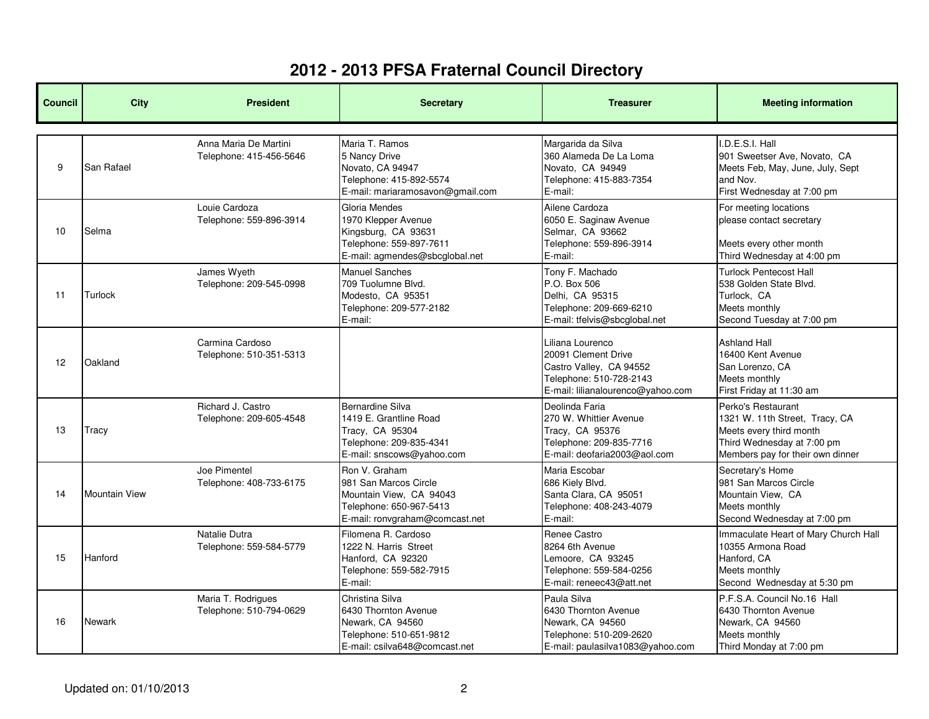| <b>Council</b> | <b>City</b>          | <b>President</b>                                 | <b>Secretary</b>                                                                                                               | <b>Treasurer</b>                                                                                                                   | <b>Meeting information</b>                                                                                                                        |
|----------------|----------------------|--------------------------------------------------|--------------------------------------------------------------------------------------------------------------------------------|------------------------------------------------------------------------------------------------------------------------------------|---------------------------------------------------------------------------------------------------------------------------------------------------|
| 9              | San Rafael           | Anna Maria De Martini<br>Telephone: 415-456-5646 | Maria T. Ramos<br>5 Nancy Drive<br>Novato, CA 94947<br>Telephone: 415-892-5574<br>E-mail: mariaramosavon@gmail.com             | Margarida da Silva<br>360 Alameda De La Loma<br>Novato, CA 94949<br>Telephone: 415-883-7354<br>E-mail:                             | I.D.E.S.I. Hall<br>901 Sweetser Ave, Novato, CA<br>Meets Feb, May, June, July, Sept<br>and Nov.<br>First Wednesday at 7:00 pm                     |
| 10             | Selma                | Louie Cardoza<br>Telephone: 559-896-3914         | Gloria Mendes<br>1970 Klepper Avenue<br>Kingsburg, CA 93631<br>Telephone: 559-897-7611<br>E-mail: agmendes@sbcglobal.net       | Ailene Cardoza<br>6050 E. Saginaw Avenue<br>Selmar, CA 93662<br>Telephone: 559-896-3914<br>E-mail:                                 | For meeting locations<br>please contact secretary<br>Meets every other month<br>Third Wednesday at 4:00 pm                                        |
| 11             | Turlock              | James Wyeth<br>Telephone: 209-545-0998           | <b>Manuel Sanches</b><br>709 Tuolumne Blvd.<br>Modesto, CA 95351<br>Telephone: 209-577-2182<br>E-mail:                         | Tony F. Machado<br>P.O. Box 506<br>Delhi, CA 95315<br>Telephone: 209-669-6210<br>E-mail: tfelvis@sbcglobal.net                     | <b>Turlock Pentecost Hall</b><br>538 Golden State Blvd.<br>Turlock, CA<br>Meets monthly<br>Second Tuesday at 7:00 pm                              |
| 12             | Oakland              | Carmina Cardoso<br>Telephone: 510-351-5313       |                                                                                                                                | Liliana Lourenco<br>20091 Clement Drive<br>Castro Valley, CA 94552<br>Telephone: 510-728-2143<br>E-mail: lilianalourenco@yahoo.com | <b>Ashland Hall</b><br>16400 Kent Avenue<br>San Lorenzo, CA<br>Meets monthly<br>First Friday at 11:30 am                                          |
| 13             | Tracy                | Richard J. Castro<br>Telephone: 209-605-4548     | Bernardine Silva<br>1419 E. Grantline Road<br>Tracy, CA 95304<br>Telephone: 209-835-4341<br>E-mail: snscows@yahoo.com          | Deolinda Faria<br>270 W. Whittier Avenue<br>Tracy, CA 95376<br>Telephone: 209-835-7716<br>E-mail: deofaria2003@aol.com             | Perko's Restaurant<br>1321 W. 11th Street, Tracy, CA<br>Meets every third month<br>Third Wednesday at 7:00 pm<br>Members pay for their own dinner |
| 14             | <b>Mountain View</b> | Joe Pimentel<br>Telephone: 408-733-6175          | Ron V. Graham<br>981 San Marcos Circle<br>Mountain View, CA 94043<br>Telephone: 650-967-5413<br>E-mail: ronvgraham@comcast.net | Maria Escobar<br>686 Kiely Blvd.<br>Santa Clara, CA 95051<br>Telephone: 408-243-4079<br>E-mail:                                    | Secretary's Home<br>981 San Marcos Circle<br>Mountain View, CA<br>Meets monthly<br>Second Wednesday at 7:00 pm                                    |
| 15             | Hanford              | Natalie Dutra<br>Telephone: 559-584-5779         | Filomena R. Cardoso<br>1222 N. Harris Street<br>Hanford, CA 92320<br>Telephone: 559-582-7915<br>E-mail:                        | Renee Castro<br>8264 6th Avenue<br>Lemoore, CA 93245<br>Telephone: 559-584-0256<br>E-mail: reneec43@att.net                        | Immaculate Heart of Mary Church Hall<br>10355 Armona Road<br>Hanford, CA<br>Meets monthly<br>Second Wednesday at 5:30 pm                          |
| 16             | Newark               | Maria T. Rodrigues<br>Telephone: 510-794-0629    | Christina Silva<br>6430 Thornton Avenue<br>Newark, CA 94560<br>Telephone: 510-651-9812<br>E-mail: csilva648@comcast.net        | Paula Silva<br>6430 Thornton Avenue<br>Newark, CA 94560<br>Telephone: 510-209-2620<br>E-mail: paulasilva1083@yahoo.com             | P.F.S.A. Council No.16 Hall<br>6430 Thornton Avenue<br>Newark, CA 94560<br>Meets monthly<br>Third Monday at 7:00 pm                               |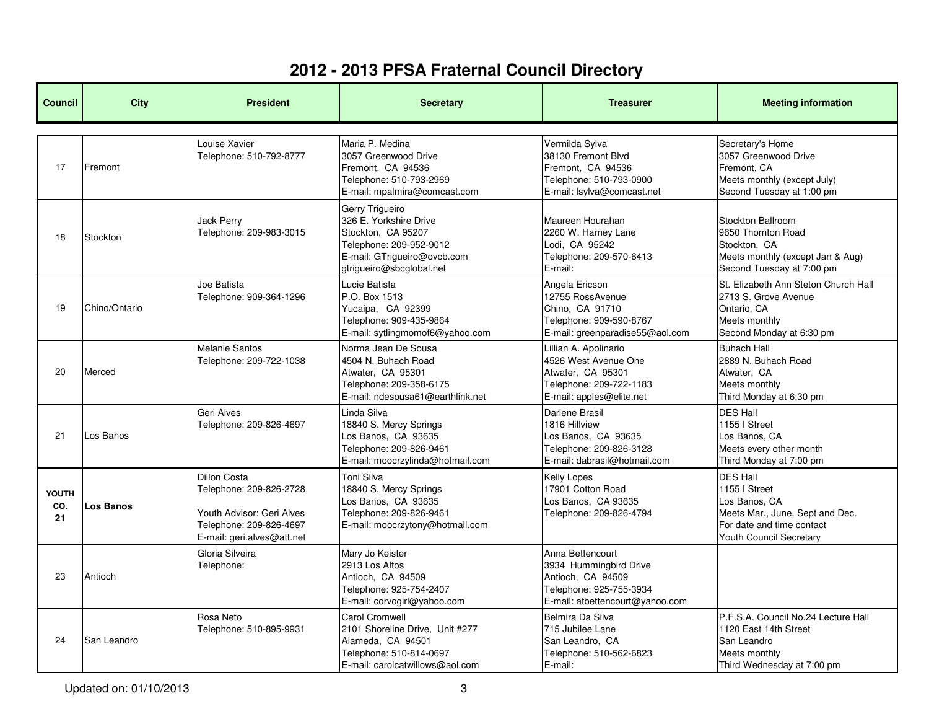| <b>Council</b>     | <b>City</b>   | <b>President</b>                                                                                                                     | <b>Secretary</b>                                                                                                                                      | <b>Treasurer</b>                                                                                                              | <b>Meeting information</b>                                                                                                                   |
|--------------------|---------------|--------------------------------------------------------------------------------------------------------------------------------------|-------------------------------------------------------------------------------------------------------------------------------------------------------|-------------------------------------------------------------------------------------------------------------------------------|----------------------------------------------------------------------------------------------------------------------------------------------|
| 17                 | Fremont       | Louise Xavier<br>Telephone: 510-792-8777                                                                                             | Maria P. Medina<br>3057 Greenwood Drive<br>Fremont, CA 94536<br>Telephone: 510-793-2969<br>E-mail: mpalmira@comcast.com                               | Vermilda Sylva<br>38130 Fremont Blvd<br>Fremont, CA 94536<br>Telephone: 510-793-0900<br>E-mail: lsylva@comcast.net            | Secretary's Home<br>3057 Greenwood Drive<br>Fremont, CA<br>Meets monthly (except July)<br>Second Tuesday at 1:00 pm                          |
| 18                 | Stockton      | <b>Jack Perry</b><br>Telephone: 209-983-3015                                                                                         | Gerry Trigueiro<br>326 E. Yorkshire Drive<br>Stockton, CA 95207<br>Telephone: 209-952-9012<br>E-mail: GTrigueiro@ovcb.com<br>gtrigueiro@sbcglobal.net | Maureen Hourahan<br>2260 W. Harney Lane<br>Lodi, CA 95242<br>Telephone: 209-570-6413<br>E-mail:                               | Stockton Ballroom<br>9650 Thornton Road<br>Stockton, CA<br>Meets monthly (except Jan & Aug)<br>Second Tuesday at 7:00 pm                     |
| 19                 | Chino/Ontario | Joe Batista<br>Telephone: 909-364-1296                                                                                               | Lucie Batista<br>P.O. Box 1513<br>Yucaipa, CA 92399<br>Telephone: 909-435-9864<br>E-mail: sytlingmomof6@yahoo.com                                     | Angela Ericson<br>12755 RossAvenue<br>Chino. CA 91710<br>Telephone: 909-590-8767<br>E-mail: greenparadise55@aol.com           | St. Elizabeth Ann Steton Church Hall<br>2713 S. Grove Avenue<br>Ontario. CA<br>Meets monthly<br>Second Monday at 6:30 pm                     |
| 20                 | Merced        | <b>Melanie Santos</b><br>Telephone: 209-722-1038                                                                                     | Norma Jean De Sousa<br>4504 N. Buhach Road<br>Atwater, CA 95301<br>Telephone: 209-358-6175<br>E-mail: ndesousa61@earthlink.net                        | Lillian A. Apolinario<br>4526 West Avenue One<br>Atwater, CA 95301<br>Telephone: 209-722-1183<br>E-mail: apples@elite.net     | <b>Buhach Hall</b><br>2889 N. Buhach Road<br>Atwater, CA<br>Meets monthly<br>Third Monday at 6:30 pm                                         |
| 21                 | Los Banos     | Geri Alves<br>Telephone: 209-826-4697                                                                                                | Linda Silva<br>18840 S. Mercy Springs<br>Los Banos, CA 93635<br>Telephone: 209-826-9461<br>E-mail: moocrzylinda@hotmail.com                           | Darlene Brasil<br>1816 Hillview<br>Los Banos, CA 93635<br>Telephone: 209-826-3128<br>E-mail: dabrasil@hotmail.com             | <b>DES Hall</b><br>1155   Street<br>Los Banos, CA<br>Meets every other month<br>Third Monday at 7:00 pm                                      |
| YOUTH<br>CO.<br>21 | Los Banos     | <b>Dillon Costa</b><br>Telephone: 209-826-2728<br>Youth Advisor: Geri Alves<br>Telephone: 209-826-4697<br>E-mail: geri.alves@att.net | Toni Silva<br>18840 S. Mercy Springs<br>Los Banos, CA 93635<br>Telephone: 209-826-9461<br>E-mail: moocrzytony@hotmail.com                             | Kelly Lopes<br>17901 Cotton Road<br>Los Banos, CA 93635<br>Telephone: 209-826-4794                                            | <b>DES Hall</b><br>1155   Street<br>Los Banos, CA<br>Meets Mar., June, Sept and Dec.<br>For date and time contact<br>Youth Council Secretary |
| 23                 | Antioch       | Gloria Silveira<br>Telephone:                                                                                                        | Mary Jo Keister<br>2913 Los Altos<br>Antioch, CA 94509<br>Telephone: 925-754-2407<br>E-mail: corvogirl@yahoo.com                                      | Anna Bettencourt<br>3934 Hummingbird Drive<br>Antioch, CA 94509<br>Telephone: 925-755-3934<br>E-mail: atbettencourt@yahoo.com |                                                                                                                                              |
| 24                 | San Leandro   | Rosa Neto<br>Telephone: 510-895-9931                                                                                                 | Carol Cromwell<br>2101 Shoreline Drive, Unit #277<br>Alameda, CA 94501<br>Telephone: 510-814-0697<br>E-mail: carolcatwillows@aol.com                  | Belmira Da Silva<br>715 Jubilee Lane<br>San Leandro, CA<br>Telephone: 510-562-6823<br>E-mail:                                 | P.F.S.A. Council No.24 Lecture Hall<br>1120 East 14th Street<br>San Leandro<br>Meets monthly<br>Third Wednesday at 7:00 pm                   |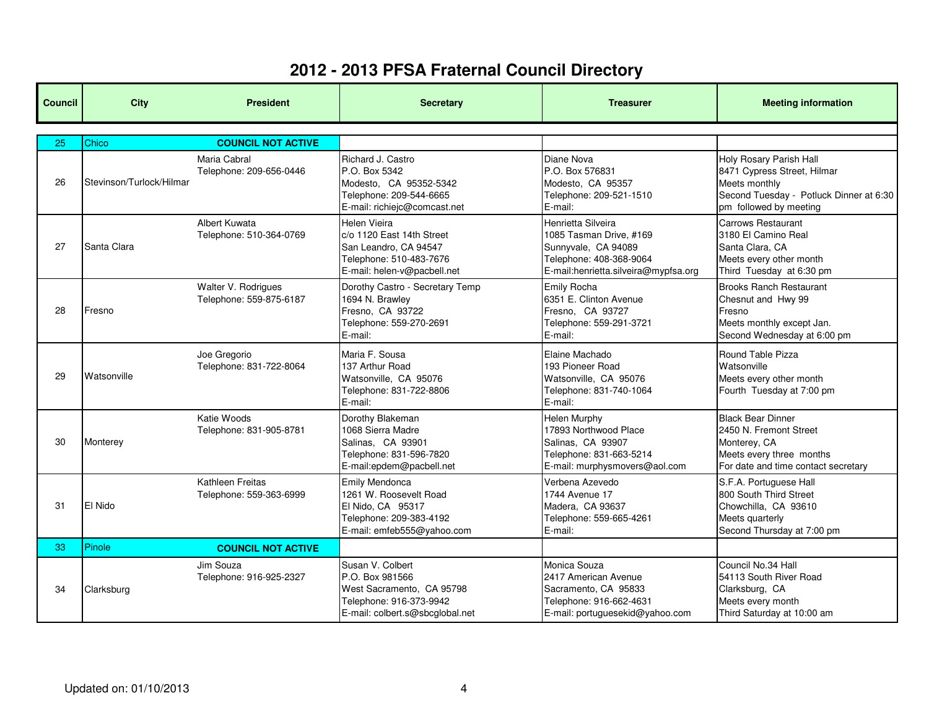| <b>Council</b> | <b>City</b>              | <b>President</b>                               | <b>Secretary</b>                                                                                                               | <b>Treasurer</b>                                                                                                                        | <b>Meeting information</b>                                                                                                                   |
|----------------|--------------------------|------------------------------------------------|--------------------------------------------------------------------------------------------------------------------------------|-----------------------------------------------------------------------------------------------------------------------------------------|----------------------------------------------------------------------------------------------------------------------------------------------|
| 25             | Chico                    | <b>COUNCIL NOT ACTIVE</b>                      |                                                                                                                                |                                                                                                                                         |                                                                                                                                              |
| 26             | Stevinson/Turlock/Hilmar | Maria Cabral<br>Telephone: 209-656-0446        | Richard J. Castro<br>P.O. Box 5342<br>Modesto, CA 95352-5342<br>Telephone: 209-544-6665<br>E-mail: richiejc@comcast.net        | Diane Nova<br>P.O. Box 576831<br>Modesto, CA 95357<br>Telephone: 209-521-1510<br>E-mail:                                                | Holy Rosary Parish Hall<br>8471 Cypress Street, Hilmar<br>Meets monthly<br>Second Tuesday - Potluck Dinner at 6:30<br>pm followed by meeting |
| 27             | Santa Clara              | Albert Kuwata<br>Telephone: 510-364-0769       | Helen Vieira<br>c/o 1120 East 14th Street<br>San Leandro, CA 94547<br>Telephone: 510-483-7676<br>E-mail: helen-v@pacbell.net   | Henrietta Silveira<br>1085 Tasman Drive, #169<br>Sunnyvale, CA 94089<br>Telephone: 408-368-9064<br>E-mail:henrietta.silveira@mypfsa.org | <b>Carrows Restaurant</b><br>3180 El Camino Real<br>Santa Clara, CA<br>Meets every other month<br>Third Tuesday at 6:30 pm                   |
| 28             | Fresno                   | Walter V. Rodrigues<br>Telephone: 559-875-6187 | Dorothy Castro - Secretary Temp<br>1694 N. Brawley<br>Fresno, CA 93722<br>Telephone: 559-270-2691<br>E-mail:                   | Emily Rocha<br>6351 E. Clinton Avenue<br>Fresno, CA 93727<br>Telephone: 559-291-3721<br>E-mail:                                         | <b>Brooks Ranch Restaurant</b><br>Chesnut and Hwy 99<br>Fresno<br>Meets monthly except Jan.<br>Second Wednesday at 6:00 pm                   |
| 29             | Watsonville              | Joe Gregorio<br>Telephone: 831-722-8064        | Maria F. Sousa<br>137 Arthur Road<br>Watsonville, CA 95076<br>Telephone: 831-722-8806<br>E-mail:                               | Elaine Machado<br>193 Pioneer Road<br>Watsonville, CA 95076<br>Telephone: 831-740-1064<br>E-mail:                                       | Round Table Pizza<br>Watsonville<br>Meets every other month<br>Fourth Tuesday at 7:00 pm                                                     |
| 30             | Monterey                 | Katie Woods<br>Telephone: 831-905-8781         | Dorothy Blakeman<br>1068 Sierra Madre<br>Salinas, CA 93901<br>Telephone: 831-596-7820<br>E-mail:epdem@pacbell.net              | <b>Helen Murphy</b><br>17893 Northwood Place<br>Salinas, CA 93907<br>Telephone: 831-663-5214<br>E-mail: murphysmovers@aol.com           | <b>Black Bear Dinner</b><br>2450 N. Fremont Street<br>Monterey, CA<br>Meets every three months<br>For date and time contact secretary        |
| 31             | <b>El Nido</b>           | Kathleen Freitas<br>Telephone: 559-363-6999    | <b>Emily Mendonca</b><br>1261 W. Roosevelt Road<br>El Nido, CA 95317<br>Telephone: 209-383-4192<br>E-mail: emfeb555@yahoo.com  | Verbena Azevedo<br>1744 Avenue 17<br>Madera, CA 93637<br>Telephone: 559-665-4261<br>E-mail:                                             | S.F.A. Portuguese Hall<br>800 South Third Street<br>Chowchilla, CA 93610<br>Meets quarterly<br>Second Thursday at 7:00 pm                    |
| 33             | Pinole                   | <b>COUNCIL NOT ACTIVE</b>                      |                                                                                                                                |                                                                                                                                         |                                                                                                                                              |
| 34             | Clarksburg               | Jim Souza<br>Telephone: 916-925-2327           | Susan V. Colbert<br>P.O. Box 981566<br>West Sacramento, CA 95798<br>Telephone: 916-373-9942<br>E-mail: colbert.s@sbcglobal.net | Monica Souza<br>2417 American Avenue<br>Sacramento, CA 95833<br>Telephone: 916-662-4631<br>E-mail: portuguesekid@yahoo.com              | Council No.34 Hall<br>54113 South River Road<br>Clarksburg, CA<br>Meets every month<br>Third Saturday at 10:00 am                            |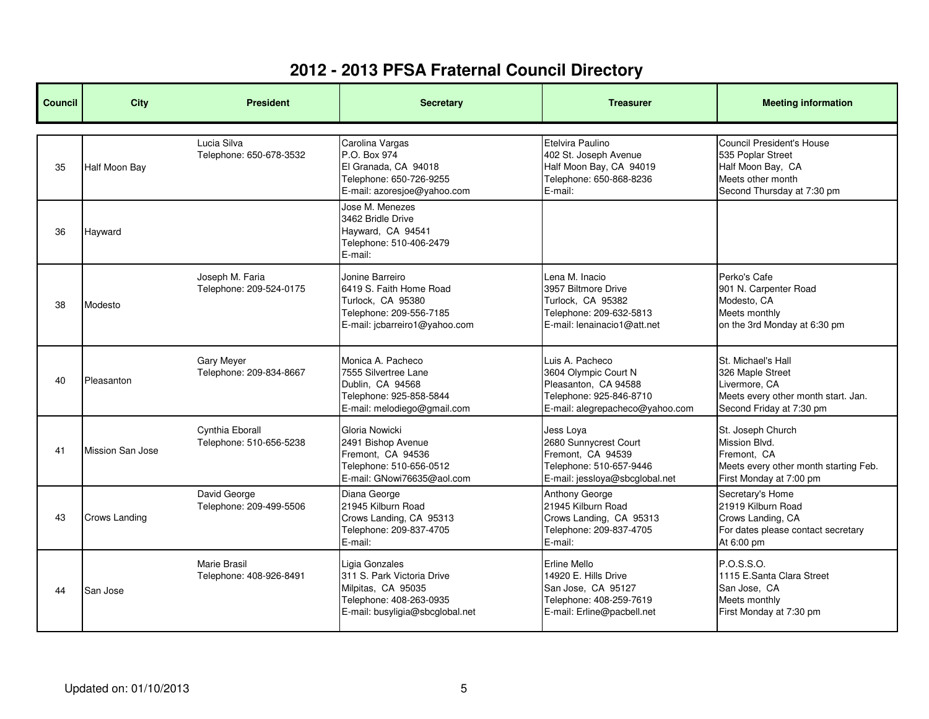| <b>Council</b> | <b>City</b>             | <b>President</b>                               | <b>Secretary</b>                                                                                                                 | <b>Treasurer</b>                                                                                                              | <b>Meeting information</b>                                                                                                 |
|----------------|-------------------------|------------------------------------------------|----------------------------------------------------------------------------------------------------------------------------------|-------------------------------------------------------------------------------------------------------------------------------|----------------------------------------------------------------------------------------------------------------------------|
| 35             | <b>Half Moon Bay</b>    | Lucia Silva<br>Telephone: 650-678-3532         | Carolina Vargas<br>P.O. Box 974<br>El Granada, CA 94018<br>Telephone: 650-726-9255<br>E-mail: azoresjoe@yahoo.com                | Etelvira Paulino<br>402 St. Joseph Avenue<br>Half Moon Bay, CA 94019<br>Telephone: 650-868-8236<br>E-mail:                    | Council President's House<br>535 Poplar Street<br>Half Moon Bay, CA<br>Meets other month<br>Second Thursday at 7:30 pm     |
| 36             | Hayward                 |                                                | Jose M. Menezes<br>3462 Bridle Drive<br>Hayward, CA 94541<br>Telephone: 510-406-2479<br>E-mail:                                  |                                                                                                                               |                                                                                                                            |
| 38             | Modesto                 | Joseph M. Faria<br>Telephone: 209-524-0175     | Jonine Barreiro<br>6419 S. Faith Home Road<br>Turlock, CA 95380<br>Telephone: 209-556-7185<br>E-mail: jcbarreiro1@yahoo.com      | Lena M. Inacio<br>3957 Biltmore Drive<br>Turlock, CA 95382<br>Telephone: 209-632-5813<br>E-mail: lenainacio1@att.net          | Perko's Cafe<br>901 N. Carpenter Road<br>Modesto, CA<br>Meets monthly<br>on the 3rd Monday at 6:30 pm                      |
| 40             | Pleasanton              | <b>Gary Meyer</b><br>Telephone: 209-834-8667   | Monica A. Pacheco<br>7555 Silvertree Lane<br>Dublin, CA 94568<br>Telephone: 925-858-5844<br>E-mail: melodiego@gmail.com          | Luis A. Pacheco<br>3604 Olympic Court N<br>Pleasanton, CA 94588<br>Telephone: 925-846-8710<br>E-mail: alegrepacheco@yahoo.com | St. Michael's Hall<br>326 Maple Street<br>Livermore, CA<br>Meets every other month start. Jan.<br>Second Friday at 7:30 pm |
| 41             | <b>Mission San Jose</b> | Cynthia Eborall<br>Telephone: 510-656-5238     | Gloria Nowicki<br>2491 Bishop Avenue<br>Fremont, CA 94536<br>Telephone: 510-656-0512<br>E-mail: GNowi76635@aol.com               | Jess Lova<br>2680 Sunnycrest Court<br>Fremont, CA 94539<br>Telephone: 510-657-9446<br>E-mail: jessloya@sbcglobal.net          | St. Joseph Church<br>Mission Blvd.<br>Fremont. CA<br>Meets every other month starting Feb.<br>First Monday at 7:00 pm      |
| 43             | <b>Crows Landing</b>    | David George<br>Telephone: 209-499-5506        | Diana George<br>21945 Kilburn Road<br>Crows Landing, CA 95313<br>Telephone: 209-837-4705<br>E-mail:                              | Anthony George<br>21945 Kilburn Road<br>Crows Landing, CA 95313<br>Telephone: 209-837-4705<br>E-mail:                         | Secretary's Home<br>21919 Kilburn Road<br>Crows Landing, CA<br>For dates please contact secretary<br>At 6:00 pm            |
| 44             | San Jose                | <b>Marie Brasil</b><br>Telephone: 408-926-8491 | Ligia Gonzales<br>311 S. Park Victoria Drive<br>Milpitas, CA 95035<br>Telephone: 408-263-0935<br>E-mail: busyligia@sbcglobal.net | <b>Erline Mello</b><br>14920 E. Hills Drive<br>San Jose, CA 95127<br>Telephone: 408-259-7619<br>E-mail: Erline@pacbell.net    | P.O.S.S.O.<br>1115 E.Santa Clara Street<br>San Jose, CA<br>Meets monthly<br>First Monday at 7:30 pm                        |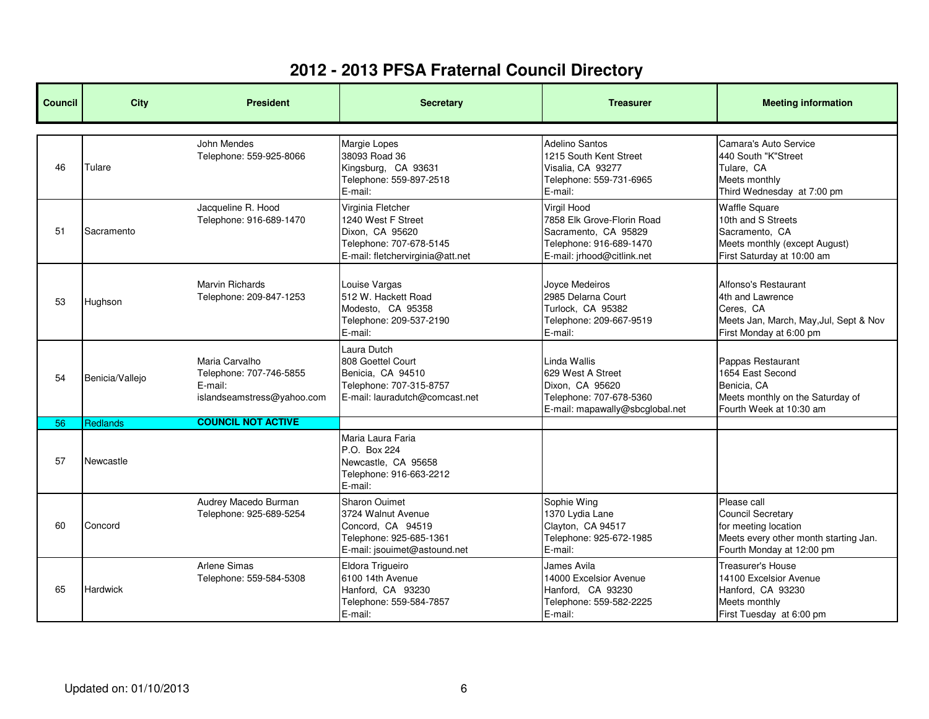| <b>Council</b> | <b>City</b>     | <b>President</b>                                                                   | <b>Secretary</b>                                                                                                           | <b>Treasurer</b>                                                                                                           | <b>Meeting information</b>                                                                                                            |
|----------------|-----------------|------------------------------------------------------------------------------------|----------------------------------------------------------------------------------------------------------------------------|----------------------------------------------------------------------------------------------------------------------------|---------------------------------------------------------------------------------------------------------------------------------------|
| 46             | Tulare          | John Mendes<br>Telephone: 559-925-8066                                             | Margie Lopes<br>38093 Road 36<br>Kingsburg, CA 93631<br>Telephone: 559-897-2518<br>E-mail:                                 | Adelino Santos<br>1215 South Kent Street<br>Visalia, CA 93277<br>Telephone: 559-731-6965<br>E-mail:                        | Camara's Auto Service<br>440 South "K"Street<br>Tulare, CA<br>Meets monthly<br>Third Wednesday at 7:00 pm                             |
| 51             | Sacramento      | Jacqueline R. Hood<br>Telephone: 916-689-1470                                      | Virginia Fletcher<br>1240 West F Street<br>Dixon, CA 95620<br>Telephone: 707-678-5145<br>E-mail: fletchervirginia@att.net  | Virgil Hood<br>7858 Elk Grove-Florin Road<br>Sacramento, CA 95829<br>Telephone: 916-689-1470<br>E-mail: jrhood@citlink.net | <b>Waffle Square</b><br>10th and S Streets<br>Sacramento, CA<br>Meets monthly (except August)<br>First Saturday at 10:00 am           |
| 53             | Hughson         | <b>Marvin Richards</b><br>Telephone: 209-847-1253                                  | Louise Vargas<br>512 W. Hackett Road<br>Modesto, CA 95358<br>Telephone: 209-537-2190<br>E-mail:                            | Joyce Medeiros<br>2985 Delarna Court<br>Turlock, CA 95382<br>Telephone: 209-667-9519<br>E-mail:                            | Alfonso's Restaurant<br>4th and Lawrence<br>Ceres, CA<br>Meets Jan, March, May, Jul, Sept & Nov<br>First Monday at 6:00 pm            |
| 54             | Benicia/Vallejo | Maria Carvalho<br>Telephone: 707-746-5855<br>E-mail:<br>islandseamstress@yahoo.com | Laura Dutch<br>808 Goettel Court<br>Benicia, CA 94510<br>Telephone: 707-315-8757<br>E-mail: lauradutch@comcast.net         | Linda Wallis<br>629 West A Street<br>Dixon, CA 95620<br>Telephone: 707-678-5360<br>E-mail: mapawally@sbcglobal.net         | Pappas Restaurant<br>1654 East Second<br>Benicia, CA<br>Meets monthly on the Saturday of<br>Fourth Week at 10:30 am                   |
| 56             | <b>Redlands</b> | <b>COUNCIL NOT ACTIVE</b>                                                          |                                                                                                                            |                                                                                                                            |                                                                                                                                       |
| 57             | Newcastle       |                                                                                    | Maria Laura Faria<br>P.O. Box 224<br>Newcastle, CA 95658<br>Telephone: 916-663-2212<br>E-mail:                             |                                                                                                                            |                                                                                                                                       |
| 60             | Concord         | Audrey Macedo Burman<br>Telephone: 925-689-5254                                    | <b>Sharon Ouimet</b><br>3724 Walnut Avenue<br>Concord, CA 94519<br>Telephone: 925-685-1361<br>E-mail: jsouimet@astound.net | Sophie Wing<br>1370 Lydia Lane<br>Clayton, CA 94517<br>Telephone: 925-672-1985<br>E-mail:                                  | Please call<br><b>Council Secretary</b><br>for meeting location<br>Meets every other month starting Jan.<br>Fourth Monday at 12:00 pm |
| 65             | <b>Hardwick</b> | <b>Arlene Simas</b><br>Telephone: 559-584-5308                                     | Eldora Trigueiro<br>6100 14th Avenue<br>Hanford, CA 93230<br>Telephone: 559-584-7857<br>E-mail:                            | James Avila<br>14000 Excelsior Avenue<br>Hanford, CA 93230<br>Telephone: 559-582-2225<br>E-mail:                           | Treasurer's House<br>14100 Excelsior Avenue<br>Hanford, CA 93230<br>Meets monthly<br>First Tuesday at 6:00 pm                         |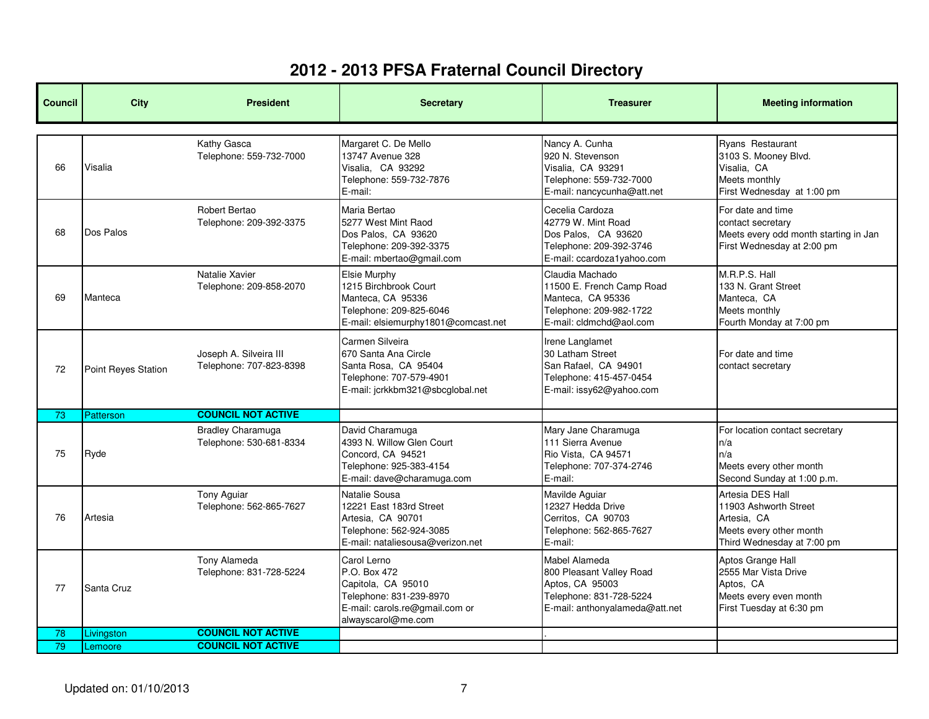| <b>Council</b> | <b>City</b>                | <b>President</b>                                    | <b>Secretary</b>                                                                                                                     | <b>Treasurer</b>                                                                                                          | <b>Meeting information</b>                                                                                        |
|----------------|----------------------------|-----------------------------------------------------|--------------------------------------------------------------------------------------------------------------------------------------|---------------------------------------------------------------------------------------------------------------------------|-------------------------------------------------------------------------------------------------------------------|
| 66             | Visalia                    | Kathy Gasca<br>Telephone: 559-732-7000              | Margaret C. De Mello<br>13747 Avenue 328<br>Visalia, CA 93292<br>Telephone: 559-732-7876<br>E-mail:                                  | Nancy A. Cunha<br>920 N. Stevenson<br>Visalia, CA 93291<br>Telephone: 559-732-7000<br>E-mail: nancycunha@att.net          | Ryans Restaurant<br>3103 S. Mooney Blvd.<br>Visalia, CA<br>Meets monthly<br>First Wednesday at 1:00 pm            |
| 68             | Dos Palos                  | Robert Bertao<br>Telephone: 209-392-3375            | Maria Bertao<br>5277 West Mint Raod<br>Dos Palos, CA 93620<br>Telephone: 209-392-3375<br>E-mail: mbertao@gmail.com                   | Cecelia Cardoza<br>42779 W. Mint Road<br>Dos Palos, CA 93620<br>Telephone: 209-392-3746<br>E-mail: ccardoza1yahoo.com     | For date and time<br>contact secretary<br>Meets every odd month starting in Jan<br>First Wednesday at 2:00 pm     |
| 69             | Manteca                    | Natalie Xavier<br>Telephone: 209-858-2070           | Elsie Murphy<br>1215 Birchbrook Court<br>Manteca, CA 95336<br>Telephone: 209-825-6046<br>E-mail: elsiemurphy1801@comcast.net         | Claudia Machado<br>11500 E. French Camp Road<br>Manteca, CA 95336<br>Telephone: 209-982-1722<br>E-mail: cldmchd@aol.com   | M.R.P.S. Hall<br>133 N. Grant Street<br>Manteca, CA<br>Meets monthly<br>Fourth Monday at 7:00 pm                  |
| 72             | <b>Point Reves Station</b> | Joseph A. Silveira III<br>Telephone: 707-823-8398   | Carmen Silveira<br>670 Santa Ana Circle<br>Santa Rosa, CA 95404<br>Telephone: 707-579-4901<br>E-mail: jcrkkbm321@sbcglobal.net       | Irene Langlamet<br>30 Latham Street<br>San Rafael, CA 94901<br>Telephone: 415-457-0454<br>E-mail: issy62@yahoo.com        | For date and time<br>contact secretary                                                                            |
| 73             | <b>Patterson</b>           | <b>COUNCIL NOT ACTIVE</b>                           |                                                                                                                                      |                                                                                                                           |                                                                                                                   |
| 75             | Ryde                       | <b>Bradley Charamuga</b><br>Telephone: 530-681-8334 | David Charamuga<br>4393 N. Willow Glen Court<br>Concord, CA 94521<br>Telephone: 925-383-4154<br>E-mail: dave@charamuga.com           | Mary Jane Charamuga<br>111 Sierra Avenue<br>Rio Vista. CA 94571<br>Telephone: 707-374-2746<br>E-mail:                     | For location contact secretary<br>n/a<br>n/a<br>Meets every other month<br>Second Sunday at 1:00 p.m.             |
| 76             | Artesia                    | Tony Aguiar<br>Telephone: 562-865-7627              | Natalie Sousa<br>12221 East 183rd Street<br>Artesia, CA 90701<br>Telephone: 562-924-3085<br>E-mail: nataliesousa@verizon.net         | Mavilde Aguiar<br>12327 Hedda Drive<br>Cerritos, CA 90703<br>Telephone: 562-865-7627<br>E-mail:                           | Artesia DES Hall<br>11903 Ashworth Street<br>Artesia, CA<br>Meets every other month<br>Third Wednesday at 7:00 pm |
| 77             | Santa Cruz                 | Tony Alameda<br>Telephone: 831-728-5224             | Carol Lerno<br>P.O. Box 472<br>Capitola, CA 95010<br>Telephone: 831-239-8970<br>E-mail: carols.re@gmail.com or<br>alwayscarol@me.com | Mabel Alameda<br>800 Pleasant Valley Road<br>Aptos, CA 95003<br>Telephone: 831-728-5224<br>E-mail: anthonyalameda@att.net | Aptos Grange Hall<br>2555 Mar Vista Drive<br>Aptos, CA<br>Meets every even month<br>First Tuesday at 6:30 pm      |
| 78             | Livingston                 | <b>COUNCIL NOT ACTIVE</b>                           |                                                                                                                                      |                                                                                                                           |                                                                                                                   |
| 79             | Lemoore                    | <b>COUNCIL NOT ACTIVE</b>                           |                                                                                                                                      |                                                                                                                           |                                                                                                                   |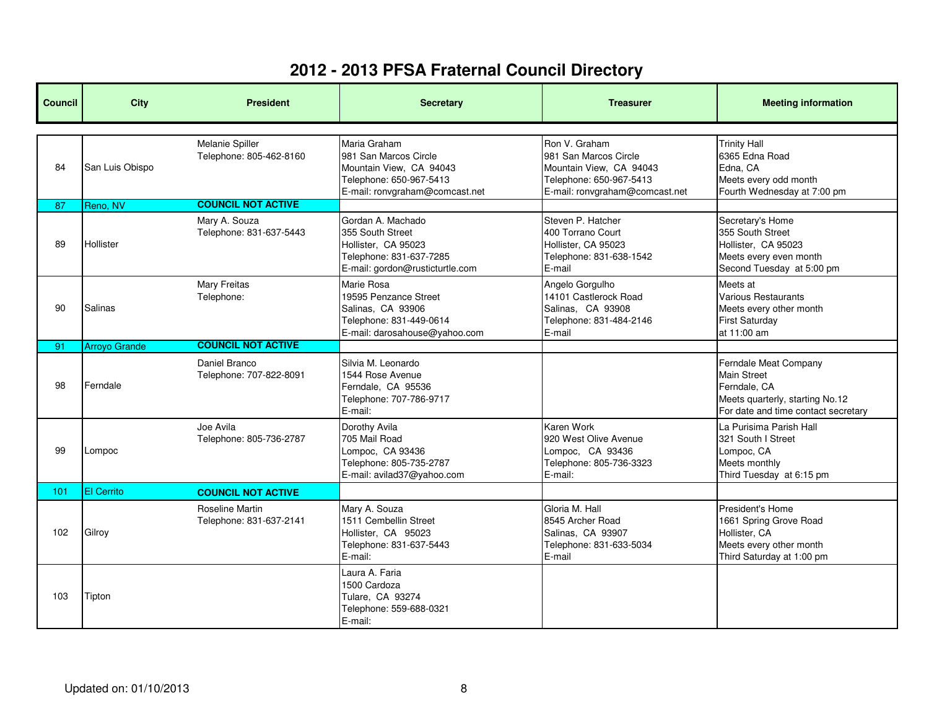| <b>Council</b> | <b>City</b>          | <b>President</b>                           | <b>Secretary</b>                                                                                                              | <b>Treasurer</b>                                                                                                               | <b>Meeting information</b>                                                                                                            |
|----------------|----------------------|--------------------------------------------|-------------------------------------------------------------------------------------------------------------------------------|--------------------------------------------------------------------------------------------------------------------------------|---------------------------------------------------------------------------------------------------------------------------------------|
| 84             | San Luis Obispo      | Melanie Spiller<br>Telephone: 805-462-8160 | Maria Graham<br>981 San Marcos Circle<br>Mountain View, CA 94043<br>Telephone: 650-967-5413<br>E-mail: ronvgraham@comcast.net | Ron V. Graham<br>981 San Marcos Circle<br>Mountain View, CA 94043<br>Telephone: 650-967-5413<br>E-mail: ronvgraham@comcast.net | <b>Trinity Hall</b><br>6365 Edna Road<br>Edna, CA<br>Meets every odd month<br>Fourth Wednesday at 7:00 pm                             |
| 87             | Reno, NV             | <b>COUNCIL NOT ACTIVE</b>                  |                                                                                                                               |                                                                                                                                |                                                                                                                                       |
| 89             | Hollister            | Mary A. Souza<br>Telephone: 831-637-5443   | Gordan A. Machado<br>355 South Street<br>Hollister, CA 95023<br>Telephone: 831-637-7285<br>E-mail: gordon@rusticturtle.com    | Steven P. Hatcher<br>400 Torrano Court<br>Hollister, CA 95023<br>Telephone: 831-638-1542<br>E-mail                             | Secretary's Home<br>355 South Street<br>Hollister, CA 95023<br>Meets every even month<br>Second Tuesday at 5:00 pm                    |
| 90             | <b>Salinas</b>       | <b>Mary Freitas</b><br>Telephone:          | Marie Rosa<br>19595 Penzance Street<br>Salinas, CA 93906<br>Telephone: 831-449-0614<br>E-mail: darosahouse@yahoo.com          | Angelo Gorgulho<br>14101 Castlerock Road<br>Salinas, CA 93908<br>Telephone: 831-484-2146<br>E-mail                             | Meets at<br><b>Various Restaurants</b><br>Meets every other month<br><b>First Saturday</b><br>at 11:00 am                             |
| 91             | <b>Arroyo Grande</b> | <b>COUNCIL NOT ACTIVE</b>                  |                                                                                                                               |                                                                                                                                |                                                                                                                                       |
| 98             | Ferndale             | Daniel Branco<br>Telephone: 707-822-8091   | Silvia M. Leonardo<br>1544 Rose Avenue<br>Ferndale, CA 95536<br>Telephone: 707-786-9717<br>E-mail:                            |                                                                                                                                | Ferndale Meat Company<br><b>Main Street</b><br>Ferndale, CA<br>Meets quarterly, starting No.12<br>For date and time contact secretary |
| 99             | Lompoc               | Joe Avila<br>Telephone: 805-736-2787       | Dorothy Avila<br>705 Mail Road<br>Lompoc, CA 93436<br>Telephone: 805-735-2787<br>E-mail: avilad37@yahoo.com                   | Karen Work<br>920 West Olive Avenue<br>Lompoc, CA 93436<br>Telephone: 805-736-3323<br>E-mail:                                  | La Purisima Parish Hall<br>321 South I Street<br>Lompoc, CA<br>Meets monthly<br>Third Tuesday at 6:15 pm                              |
| 101            | <b>El Cerrito</b>    | <b>COUNCIL NOT ACTIVE</b>                  |                                                                                                                               |                                                                                                                                |                                                                                                                                       |
| 102            | Gilroy               | Roseline Martin<br>Telephone: 831-637-2141 | Mary A. Souza<br>1511 Cembellin Street<br>Hollister, CA 95023<br>Telephone: 831-637-5443<br>E-mail:                           | Gloria M. Hall<br>8545 Archer Road<br>Salinas, CA 93907<br>Telephone: 831-633-5034<br>E-mail                                   | President's Home<br>1661 Spring Grove Road<br>Hollister, CA<br>Meets every other month<br>Third Saturday at 1:00 pm                   |
| 103            | Tipton               |                                            | Laura A. Faria<br>1500 Cardoza<br>Tulare, CA 93274<br>Telephone: 559-688-0321<br>E-mail:                                      |                                                                                                                                |                                                                                                                                       |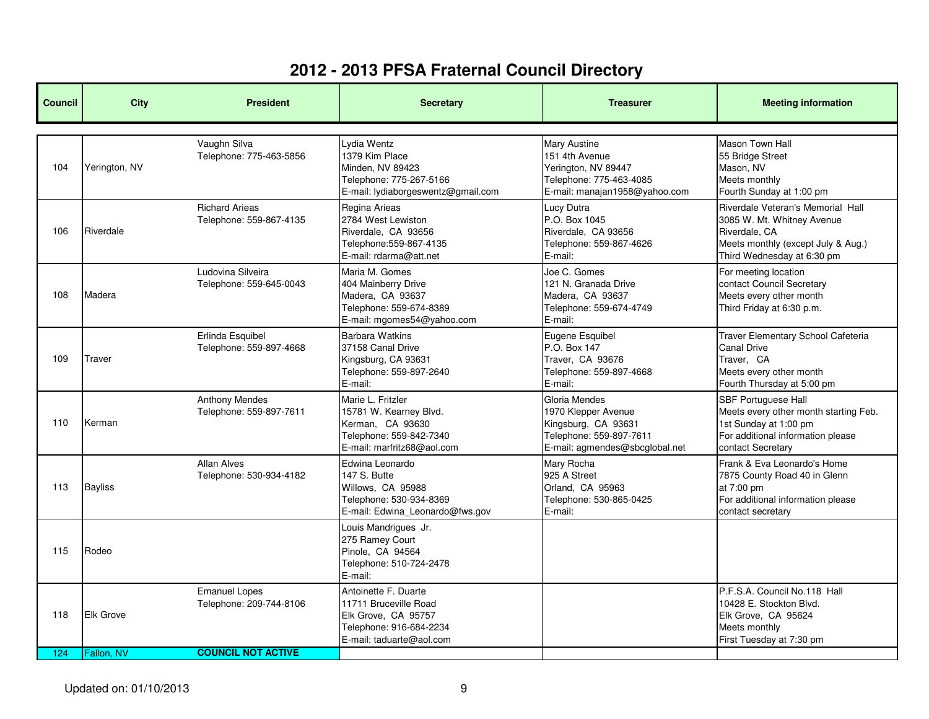| <b>Council</b> | <b>City</b>      | <b>President</b>                                 | <b>Secretary</b>                                                                                                            | <b>Treasurer</b>                                                                                                         | <b>Meeting information</b>                                                                                                                             |
|----------------|------------------|--------------------------------------------------|-----------------------------------------------------------------------------------------------------------------------------|--------------------------------------------------------------------------------------------------------------------------|--------------------------------------------------------------------------------------------------------------------------------------------------------|
| 104            | Yerington, NV    | Vaughn Silva<br>Telephone: 775-463-5856          | vdia Wentz<br>1379 Kim Place<br>Minden, NV 89423<br>Telephone: 775-267-5166<br>E-mail: lydiaborgeswentz@gmail.com           | Mary Austine<br>151 4th Avenue<br>Yerington, NV 89447<br>Telephone: 775-463-4085<br>E-mail: manajan1958@yahoo.com        | Mason Town Hall<br>55 Bridge Street<br>Mason, NV<br>Meets monthly<br>Fourth Sunday at 1:00 pm                                                          |
| 106            | Riverdale        | <b>Richard Arieas</b><br>Telephone: 559-867-4135 | Regina Arieas<br>2784 West Lewiston<br>Riverdale, CA 93656<br>Telephone: 559-867-4135<br>E-mail: rdarma@att.net             | Lucy Dutra<br>P.O. Box 1045<br>Riverdale, CA 93656<br>Telephone: 559-867-4626<br>E-mail:                                 | Riverdale Veteran's Memorial Hall<br>3085 W. Mt. Whitney Avenue<br>Riverdale, CA<br>Meets monthly (except July & Aug.)<br>Third Wednesday at 6:30 pm   |
| 108            | Madera           | Ludovina Silveira<br>Telephone: 559-645-0043     | Maria M. Gomes<br>404 Mainberry Drive<br>Madera, CA 93637<br>Telephone: 559-674-8389<br>E-mail: mgomes54@yahoo.com          | Joe C. Gomes<br>121 N. Granada Drive<br>Madera, CA 93637<br>Telephone: 559-674-4749<br>E-mail:                           | For meeting location<br>contact Council Secretary<br>Meets every other month<br>Third Friday at 6:30 p.m.                                              |
| 109            | Traver           | Erlinda Esquibel<br>Telephone: 559-897-4668      | <b>Barbara Watkins</b><br>37158 Canal Drive<br>Kingsburg, CA 93631<br>Telephone: 559-897-2640<br>E-mail:                    | Eugene Esquibel<br>P.O. Box 147<br>Traver, CA 93676<br>Telephone: 559-897-4668<br>E-mail:                                | Traver Elementary School Cafeteria<br><b>Canal Drive</b><br>Traver. CA<br>Meets every other month<br>Fourth Thursday at 5:00 pm                        |
| 110            | Kerman           | <b>Anthony Mendes</b><br>Telephone: 559-897-7611 | Marie L. Fritzler<br>15781 W. Kearney Blvd.<br>Kerman, CA 93630<br>Telephone: 559-842-7340<br>E-mail: marfritz68@aol.com    | Gloria Mendes<br>1970 Klepper Avenue<br>Kingsburg, CA 93631<br>Telephone: 559-897-7611<br>E-mail: agmendes@sbcglobal.net | <b>SBF Portuguese Hall</b><br>Meets every other month starting Feb.<br>1st Sunday at 1:00 pm<br>For additional information please<br>contact Secretary |
| 113            | <b>Bayliss</b>   | <b>Allan Alves</b><br>Telephone: 530-934-4182    | Edwina Leonardo<br>147 S. Butte<br>Willows, CA 95988<br>Telephone: 530-934-8369<br>E-mail: Edwina_Leonardo@fws.gov          | Mary Rocha<br>925 A Street<br>Orland, CA 95963<br>Telephone: 530-865-0425<br>E-mail:                                     | Frank & Eva Leonardo's Home<br>7875 County Road 40 in Glenn<br>at 7:00 pm<br>For additional information please<br>contact secretary                    |
| 115            | Rodeo            |                                                  | Louis Mandrigues Jr.<br>275 Ramey Court<br>Pinole, CA 94564<br>Telephone: 510-724-2478<br>E-mail:                           |                                                                                                                          |                                                                                                                                                        |
| 118            | <b>Elk Grove</b> | <b>Emanuel Lopes</b><br>Telephone: 209-744-8106  | Antoinette F. Duarte<br>11711 Bruceville Road<br>Elk Grove, CA 95757<br>Telephone: 916-684-2234<br>E-mail: taduarte@aol.com |                                                                                                                          | P.F.S.A. Council No.118 Hall<br>10428 E. Stockton Blvd.<br>Elk Grove, CA 95624<br>Meets monthly<br>First Tuesday at 7:30 pm                            |
| 124            | Fallon, NV       | <b>COUNCIL NOT ACTIVE</b>                        |                                                                                                                             |                                                                                                                          |                                                                                                                                                        |